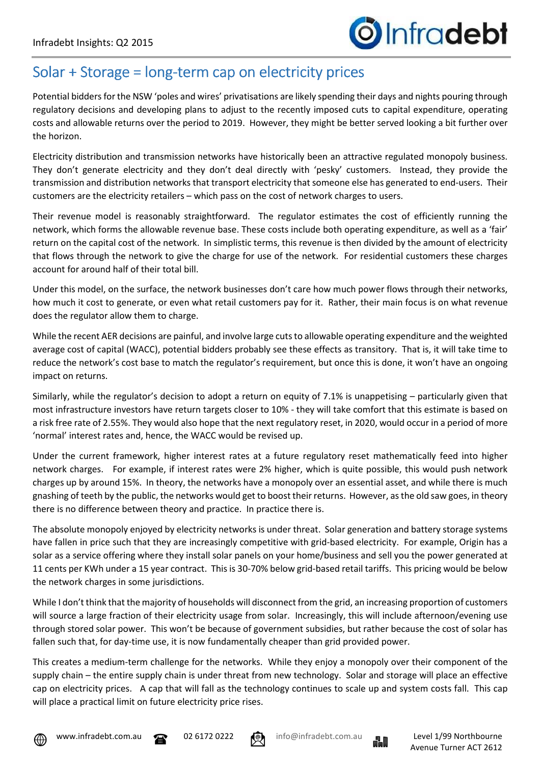## Solar + Storage = long-term cap on electricity prices

Potential bidders for the NSW 'poles and wires' privatisations are likely spending their days and nights pouring through regulatory decisions and developing plans to adjust to the recently imposed cuts to capital expenditure, operating costs and allowable returns over the period to 2019. However, they might be better served looking a bit further over the horizon.

Electricity distribution and transmission networks have historically been an attractive regulated monopoly business. They don't generate electricity and they don't deal directly with 'pesky' customers. Instead, they provide the transmission and distribution networks that transport electricity that someone else has generated to end-users. Their customers are the electricity retailers – which pass on the cost of network charges to users.

Their revenue model is reasonably straightforward. The regulator estimates the cost of efficiently running the network, which forms the allowable revenue base. These costs include both operating expenditure, as well as a 'fair' return on the capital cost of the network. In simplistic terms, this revenue is then divided by the amount of electricity that flows through the network to give the charge for use of the network. For residential customers these charges account for around half of their total bill.

Under this model, on the surface, the network businesses don't care how much power flows through their networks, how much it cost to generate, or even what retail customers pay for it. Rather, their main focus is on what revenue does the regulator allow them to charge.

While the recent AER decisions are painful, and involve large cuts to allowable operating expenditure and the weighted average cost of capital (WACC), potential bidders probably see these effects as transitory. That is, it will take time to reduce the network's cost base to match the regulator's requirement, but once this is done, it won't have an ongoing impact on returns.

Similarly, while the regulator's decision to adopt a return on equity of 7.1% is unappetising – particularly given that most infrastructure investors have return targets closer to 10% - they will take comfort that this estimate is based on a risk free rate of 2.55%. They would also hope that the next regulatory reset, in 2020, would occur in a period of more 'normal' interest rates and, hence, the WACC would be revised up.

Under the current framework, higher interest rates at a future regulatory reset mathematically feed into higher network charges. For example, if interest rates were 2% higher, which is quite possible, this would push network charges up by around 15%. In theory, the networks have a monopoly over an essential asset, and while there is much gnashing of teeth by the public, the networks would get to boost their returns. However, as the old saw goes, in theory there is no difference between theory and practice. In practice there is.

The absolute monopoly enjoyed by electricity networks is under threat. Solar generation and battery storage systems have fallen in price such that they are increasingly competitive with grid-based electricity. For example, Origin has a solar as a service offering where they install solar panels on your home/business and sell you the power generated at 11 cents per KWh under a 15 year contract. This is 30-70% below grid-based retail tariffs. This pricing would be below the network charges in some jurisdictions.

While I don't think that the majority of households will disconnect from the grid, an increasing proportion of customers will source a large fraction of their electricity usage from solar. Increasingly, this will include afternoon/evening use through stored solar power. This won't be because of government subsidies, but rather because the cost of solar has fallen such that, for day-time use, it is now fundamentally cheaper than grid provided power.

This creates a medium-term challenge for the networks. While they enjoy a monopoly over their component of the supply chain – the entire supply chain is under threat from new technology. Solar and storage will place an effective cap on electricity prices. A cap that will fall as the technology continues to scale up and system costs fall. This cap will place a practical limit on future electricity price rises.